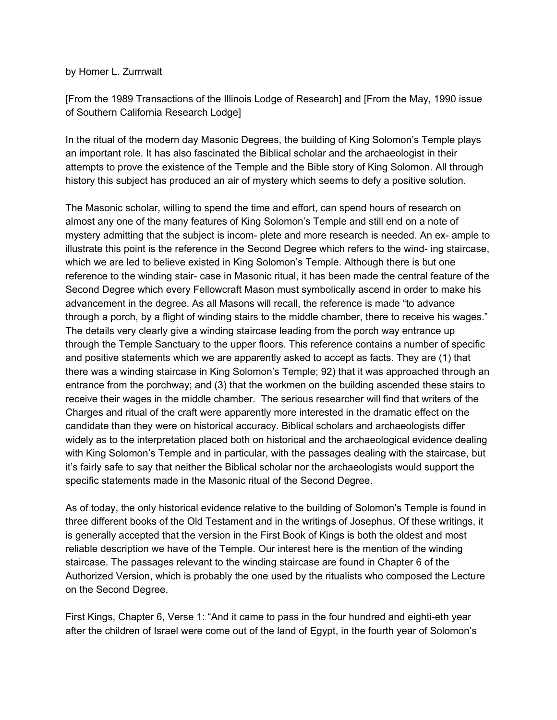## by Homer L. Zurrrwalt

[From the 1989 Transactions of the Illinois Lodge of Research] and [From the May, 1990 issue of Southern California Research Lodge]

In the ritual of the modern day Masonic Degrees, the building of King Solomon's Temple plays an important role. It has also fascinated the Biblical scholar and the archaeologist in their attempts to prove the existence of the Temple and the Bible story of King Solomon. All through history this subject has produced an air of mystery which seems to defy a positive solution.

The Masonic scholar, willing to spend the time and effort, can spend hours of research on almost any one of the many features of King Solomon's Temple and still end on a note of mystery admitting that the subject is incom- plete and more research is needed. An ex- ample to illustrate this point is the reference in the Second Degree which refers to the wind- ing staircase, which we are led to believe existed in King Solomon's Temple. Although there is but one reference to the winding stair- case in Masonic ritual, it has been made the central feature of the Second Degree which every Fellowcraft Mason must symbolically ascend in order to make his advancement in the degree. As all Masons will recall, the reference is made "to advance through a porch, by a flight of winding stairs to the middle chamber, there to receive his wages." The details very clearly give a winding staircase leading from the porch way entrance up through the Temple Sanctuary to the upper floors. This reference contains a number of specific and positive statements which we are apparently asked to accept as facts. They are (1) that there was a winding staircase in King Solomon's Temple; 92) that it was approached through an entrance from the porchway; and (3) that the workmen on the building ascended these stairs to receive their wages in the middle chamber. The serious researcher will find that writers of the Charges and ritual of the craft were apparently more interested in the dramatic effect on the candidate than they were on historical accuracy. Biblical scholars and archaeologists differ widely as to the interpretation placed both on historical and the archaeological evidence dealing with King Solomon's Temple and in particular, with the passages dealing with the staircase, but it's fairly safe to say that neither the Biblical scholar nor the archaeologists would support the specific statements made in the Masonic ritual of the Second Degree.

As of today, the only historical evidence relative to the building of Solomon's Temple is found in three different books of the Old Testament and in the writings of Josephus. Of these writings, it is generally accepted that the version in the First Book of Kings is both the oldest and most reliable description we have of the Temple. Our interest here is the mention of the winding staircase. The passages relevant to the winding staircase are found in Chapter 6 of the Authorized Version, which is probably the one used by the ritualists who composed the Lecture on the Second Degree.

First Kings, Chapter 6, Verse 1: "And it came to pass in the four hundred and eighti-eth year after the children of Israel were come out of the land of Egypt, in the fourth year of Solomon's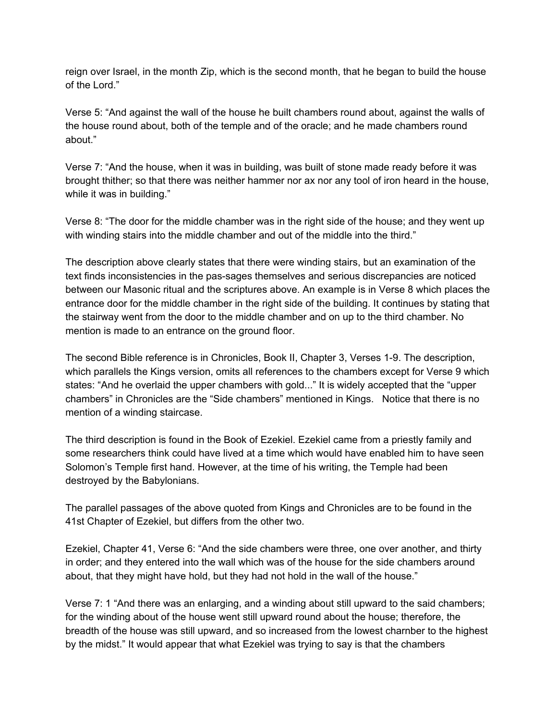reign over Israel, in the month Zip, which is the second month, that he began to build the house of the Lord."

Verse 5: "And against the wall of the house he built chambers round about, against the walls of the house round about, both of the temple and of the oracle; and he made chambers round about."

Verse 7: "And the house, when it was in building, was built of stone made ready before it was brought thither; so that there was neither hammer nor ax nor any tool of iron heard in the house, while it was in building."

Verse 8: "The door for the middle chamber was in the right side of the house; and they went up with winding stairs into the middle chamber and out of the middle into the third."

The description above clearly states that there were winding stairs, but an examination of the text finds inconsistencies in the pas-sages themselves and serious discrepancies are noticed between our Masonic ritual and the scriptures above. An example is in Verse 8 which places the entrance door for the middle chamber in the right side of the building. It continues by stating that the stairway went from the door to the middle chamber and on up to the third chamber. No mention is made to an entrance on the ground floor.

The second Bible reference is in Chronicles, Book II, Chapter 3, Verses 1-9. The description, which parallels the Kings version, omits all references to the chambers except for Verse 9 which states: "And he overlaid the upper chambers with gold..." It is widely accepted that the "upper chambers" in Chronicles are the "Side chambers" mentioned in Kings. Notice that there is no mention of a winding staircase.

The third description is found in the Book of Ezekiel. Ezekiel came from a priestly family and some researchers think could have lived at a time which would have enabled him to have seen Solomon's Temple first hand. However, at the time of his writing, the Temple had been destroyed by the Babylonians.

The parallel passages of the above quoted from Kings and Chronicles are to be found in the 41st Chapter of Ezekiel, but differs from the other two.

Ezekiel, Chapter 41, Verse 6: "And the side chambers were three, one over another, and thirty in order; and they entered into the wall which was of the house for the side chambers around about, that they might have hold, but they had not hold in the wall of the house."

Verse 7: 1 "And there was an enlarging, and a winding about still upward to the said chambers; for the winding about of the house went still upward round about the house; therefore, the breadth of the house was still upward, and so increased from the lowest charnber to the highest by the midst." It would appear that what Ezekiel was trying to say is that the chambers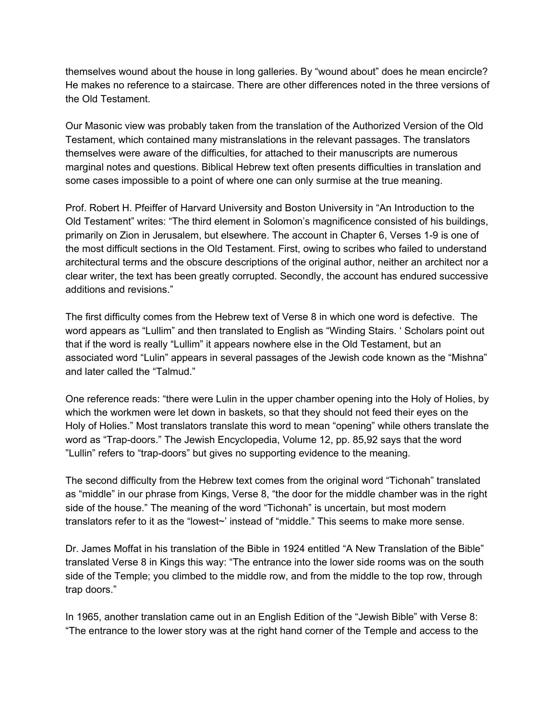themselves wound about the house in long galleries. By "wound about" does he mean encircle? He makes no reference to a staircase. There are other differences noted in the three versions of the Old Testament.

Our Masonic view was probably taken from the translation of the Authorized Version of the Old Testament, which contained many mistranslations in the relevant passages. The translators themselves were aware of the difficulties, for attached to their manuscripts are numerous marginal notes and questions. Biblical Hebrew text often presents difficulties in translation and some cases impossible to a point of where one can only surmise at the true meaning.

Prof. Robert H. Pfeiffer of Harvard University and Boston University in "An Introduction to the Old Testament" writes: "The third element in Solomon's magnificence consisted of his buildings, primarily on Zion in Jerusalem, but elsewhere. The account in Chapter 6, Verses 1-9 is one of the most difficult sections in the Old Testament. First, owing to scribes who failed to understand architectural terms and the obscure descriptions of the original author, neither an architect nor a clear writer, the text has been greatly corrupted. Secondly, the account has endured successive additions and revisions."

The first difficulty comes from the Hebrew text of Verse 8 in which one word is defective. The word appears as "Lullim" and then translated to English as "Winding Stairs. ' Scholars point out that if the word is really "Lullim" it appears nowhere else in the Old Testament, but an associated word "Lulin" appears in several passages of the Jewish code known as the "Mishna" and later called the "Talmud."

One reference reads: "there were Lulin in the upper chamber opening into the Holy of Holies, by which the workmen were let down in baskets, so that they should not feed their eyes on the Holy of Holies." Most translators translate this word to mean "opening" while others translate the word as "Trap-doors." The Jewish Encyclopedia, Volume 12, pp. 85,92 says that the word "Lullin" refers to "trap-doors" but gives no supporting evidence to the meaning.

The second difficulty from the Hebrew text comes from the original word "Tichonah" translated as "middle" in our phrase from Kings, Verse 8, "the door for the middle chamber was in the right side of the house." The meaning of the word "Tichonah" is uncertain, but most modern translators refer to it as the "lowest~' instead of "middle." This seems to make more sense.

Dr. James Moffat in his translation of the Bible in 1924 entitled "A New Translation of the Bible" translated Verse 8 in Kings this way: "The entrance into the lower side rooms was on the south side of the Temple; you climbed to the middle row, and from the middle to the top row, through trap doors."

In 1965, another translation came out in an English Edition of the "Jewish Bible" with Verse 8: "The entrance to the lower story was at the right hand corner of the Temple and access to the